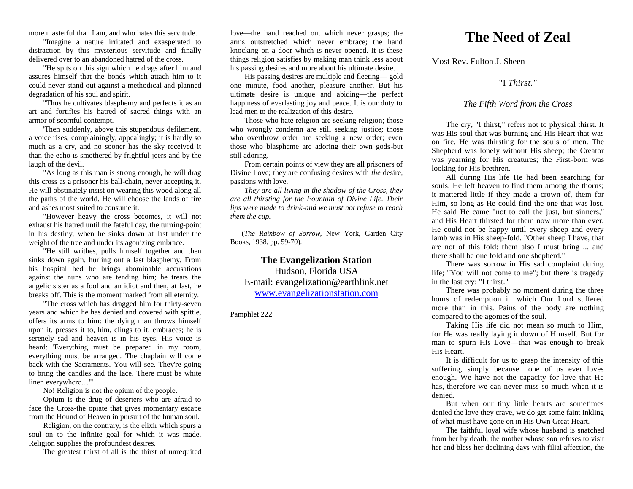more masterful than I am, and who hates this servitude.

"Imagine a nature irritated and exasperated to distraction by this mysterious servitude and finally delivered over to an abandoned hatred of the cross.

"He spits on this sign which he drags after him and assures himself that the bonds which attach him to it could never stand out against a methodical and planned degradation of his soul and spirit.

"Thus he cultivates blasphemy and perfects it as an art and fortifies his hatred of sacred things with an armor of scornful contempt.

'Then suddenly, above this stupendous defilement, a voice rises, complainingly, appealingly; it is hardly so much as a cry, and no sooner has the sky received it than the echo is smothered by frightful jeers and by the laugh of the devil.

"As long as this man is strong enough, he will drag this cross as a prisoner his ball-chain, never accepting it. He will obstinately insist on wearing this wood along all the paths of the world. He will choose the lands of fire and ashes most suited to consume it.

"However heavy the cross becomes, it will not exhaust his hatred until the fateful day, the turning-point in his destiny, when he sinks down at last under the weight of the tree and under its agonizing embrace.

"He still writhes, pulls himself together and then sinks down again, hurling out a last blasphemy. From his hospital bed he brings abominable accusations against the nuns who are tending him; he treats the angelic sister as a fool and an idiot and then, at last, he breaks off. This is the moment marked from all eternity.

"The cross which has dragged him for thirty-seven years and which he has denied and covered with spittle, offers its arms to him: the dying man throws himself upon it, presses it to, him, clings to it, embraces; he is serenely sad and heaven is in his eyes. His voice is heard: 'Everything must be prepared in my room, everything must be arranged. The chaplain will come back with the Sacraments. You will see. They're going to bring the candles and the lace. There must be white linen everywhere…'"

No! Religion is not the opium of the people.

Opium is the drug of deserters who are afraid to face the Cross-the opiate that gives momentary escape from the Hound of Heaven in pursuit of the human soul.

Religion, on the contrary, is the elixir which spurs a soul on to the infinite goal for which it was made. Religion supplies the profoundest desires.

The greatest thirst of all is the thirst of unrequited

love—the hand reached out which never grasps; the arms outstretched which never embrace; the hand knocking on a door which is never opened. It is these things religion satisfies by making man think less about his passing desires and more about his ultimate desire.

His passing desires are multiple and fleeting— gold one minute, food another, pleasure another. But his ultimate desire is unique and abiding—the perfect happiness of everlasting joy and peace. It is our duty to lead men to the realization of this desire.

Those who hate religion are seeking religion; those who wrongly condemn are still seeking justice; those who overthrow order are seeking a new order; even those who blaspheme are adoring their own gods-but still adoring.

From certain points of view they are all prisoners of Divine Love; they are confusing desires with *the* desire, passions with love.

*They are all living in the shadow of the Cross, they are all thirsting for the Fountain of Divine Life. Their lips were made to drink-and we must not refuse to reach them the cup.* 

— (*The Rainbow of Sorrow*, New York, Garden City Books, 1938, pp. 59-70).

**The Evangelization Station** Hudson, Florida USA E-mail: evangelization@earthlink.net [www.evangelizationstation.com](http://www.pjpiisoe.org/)

Pamphlet 222

## **The Need of Zeal**

Most Rev. Fulton J. Sheen

"I *Thirst."*

## *The Fifth Word from the Cross*

The cry, "I thirst," refers not to physical thirst. It was His soul that was burning and His Heart that was on fire. He was thirsting for the souls of men. The Shepherd was lonely without His sheep; the Creator was yearning for His creatures; the First-born was looking for His brethren.

All during His life He had been searching for souls. He left heaven to find them among the thorns; it mattered little if they made a crown of, them for Him, so long as He could find the one that was lost. He said He came "not to call the just, but sinners," and His Heart thirsted for them now more than ever. He could not be happy until every sheep and every lamb was in His sheep-fold. "Other sheep I have, that are not of this fold: them also I must bring ... and there shall be one fold and one shepherd."

There was sorrow in His sad complaint during life; "You will not come to me"; but there is tragedy in the last cry: "I thirst."

There was probably no moment during the three hours of redemption in which Our Lord suffered more than in this. Pains of the body are nothing compared to the agonies of the soul.

Taking His life did not mean so much to Him, for He was really laying it down of Himself. But for man to spurn His Love—that was enough to break His Heart.

It is difficult for us to grasp the intensity of this suffering, simply because none of us ever loves enough. We have not the capacity for love that He has, therefore we can never miss so much when it is denied.

But when our tiny little hearts are sometimes denied the love they crave, we do get some faint inkling of what must have gone on in His Own Great Heart.

The faithful loyal wife whose husband is snatched from her by death, the mother whose son refuses to visit her and bless her declining days with filial affection, the